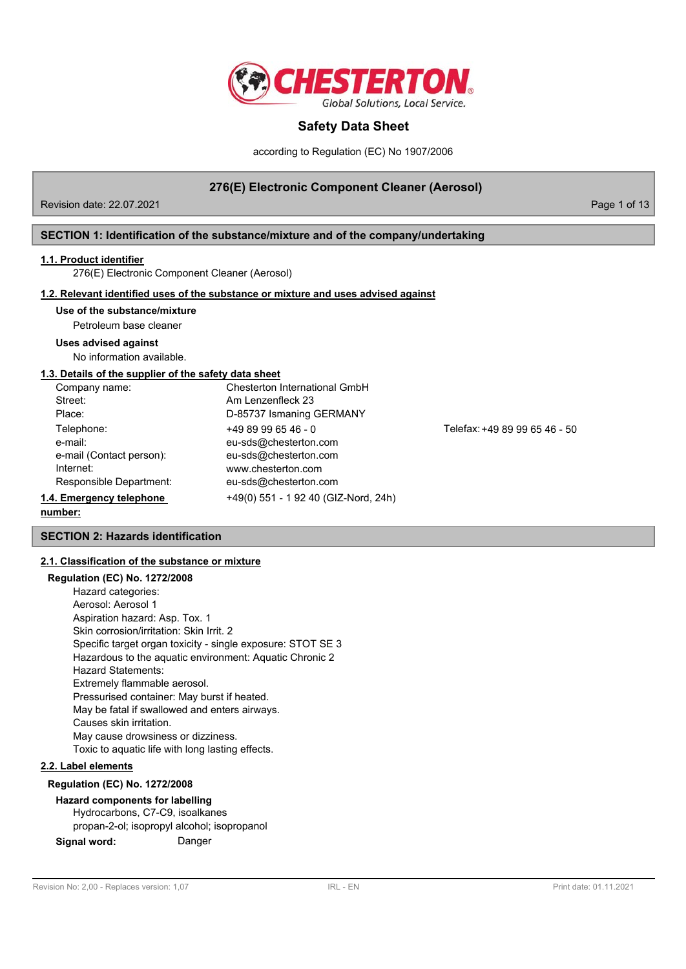

according to Regulation (EC) No 1907/2006

## **276(E) Electronic Component Cleaner (Aerosol)**

Revision date: 22.07.2021 **Page 1 of 13** New York 2010 12:00 Page 1 of 13

## **SECTION 1: Identification of the substance/mixture and of the company/undertaking**

#### **1.1. Product identifier**

276(E) Electronic Component Cleaner (Aerosol)

## **1.2. Relevant identified uses of the substance or mixture and uses advised against**

## **Use of the substance/mixture**

Petroleum base cleaner

## **Uses advised against**

No information available.

#### **1.3. Details of the supplier of the safety data sheet**

| Company name:            | Chesterton International GmbH        |      |
|--------------------------|--------------------------------------|------|
| Street:                  | Am Lenzenfleck 23                    |      |
| Place:                   | D-85737 Ismaning GERMANY             |      |
| Telephone:               | $+4989996546 - 0$                    | Tele |
| e-mail:                  | eu-sds@chesterton.com                |      |
| e-mail (Contact person): | eu-sds@chesterton.com                |      |
| Internet:                | www.chesterton.com                   |      |
| Responsible Department:  | eu-sds@chesterton.com                |      |
| 1.4. Emergency telephone | +49(0) 551 - 1 92 40 (GIZ-Nord, 24h) |      |
|                          |                                      |      |

fax: +49 89 99 65 46 - 50

# **number:**

**SECTION 2: Hazards identification**

## **2.1. Classification of the substance or mixture**

### **Regulation (EC) No. 1272/2008**

Hazard categories: Aerosol: Aerosol 1 Aspiration hazard: Asp. Tox. 1 Skin corrosion/irritation: Skin Irrit. 2 Specific target organ toxicity - single exposure: STOT SE 3 Hazardous to the aquatic environment: Aquatic Chronic 2 Hazard Statements: Extremely flammable aerosol. Pressurised container: May burst if heated. May be fatal if swallowed and enters airways. Causes skin irritation. May cause drowsiness or dizziness. Toxic to aquatic life with long lasting effects.

# **2.2. Label elements**

## **Regulation (EC) No. 1272/2008**

**Hazard components for labelling** Hydrocarbons, C7-C9, isoalkanes propan-2-ol; isopropyl alcohol; isopropanol

**Signal word:** Danger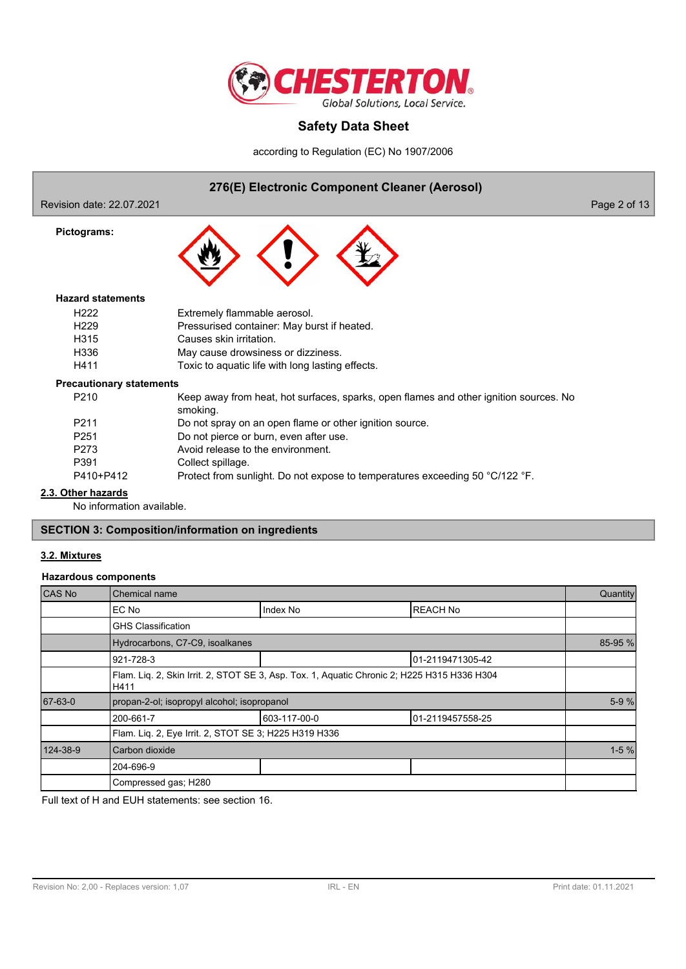

according to Regulation (EC) No 1907/2006

## **276(E) Electronic Component Cleaner (Aerosol)**

Revision date: 22.07.2021 **Page 2 of 13** 

**Pictograms:**



#### **Hazard statements**

| H <sub>222</sub>                | Extremely flammable aerosol.                                                          |
|---------------------------------|---------------------------------------------------------------------------------------|
| H <sub>229</sub>                | Pressurised container: May burst if heated.                                           |
| H315                            | Causes skin irritation.                                                               |
| H336                            | May cause drowsiness or dizziness.                                                    |
| H411                            | Toxic to aquatic life with long lasting effects.                                      |
| <b>Precautionary statements</b> |                                                                                       |
| P210                            | Keep away from heat, hot surfaces, sparks, open flames and other ignition sources. No |

smoking. P211 Do not spray on an open flame or other ignition source.

- P251 Do not pierce or burn, even after use.
- P273 Avoid release to the environment.
- P391 Collect spillage.
- P410+P412 Protect from sunlight. Do not expose to temperatures exceeding 50 °C/122 °F.

### **2.3. Other hazards**

No information available.

## **SECTION 3: Composition/information on ingredients**

## **3.2. Mixtures**

#### **Hazardous components**

| CAS No   | Chemical name                                                                                       |              |                  | Quantity |  |  |
|----------|-----------------------------------------------------------------------------------------------------|--------------|------------------|----------|--|--|
|          | EC No                                                                                               | Index No     | <b>REACH No</b>  |          |  |  |
|          | <b>GHS Classification</b>                                                                           |              |                  |          |  |  |
|          | Hydrocarbons, C7-C9, isoalkanes                                                                     |              |                  |          |  |  |
|          | 921-728-3                                                                                           |              | 01-2119471305-42 |          |  |  |
|          | Flam. Liq. 2, Skin Irrit. 2, STOT SE 3, Asp. Tox. 1, Aquatic Chronic 2; H225 H315 H336 H304<br>H411 |              |                  |          |  |  |
| 67-63-0  | propan-2-ol; isopropyl alcohol; isopropanol                                                         |              |                  | $5-9%$   |  |  |
|          | 200-661-7                                                                                           | 603-117-00-0 | 01-2119457558-25 |          |  |  |
|          | Flam. Liq. 2, Eye Irrit. 2, STOT SE 3; H225 H319 H336                                               |              |                  |          |  |  |
| 124-38-9 | Carbon dioxide                                                                                      |              |                  |          |  |  |
|          | 204-696-9                                                                                           |              |                  |          |  |  |
|          | Compressed gas; H280                                                                                |              |                  |          |  |  |

Full text of H and EUH statements: see section 16.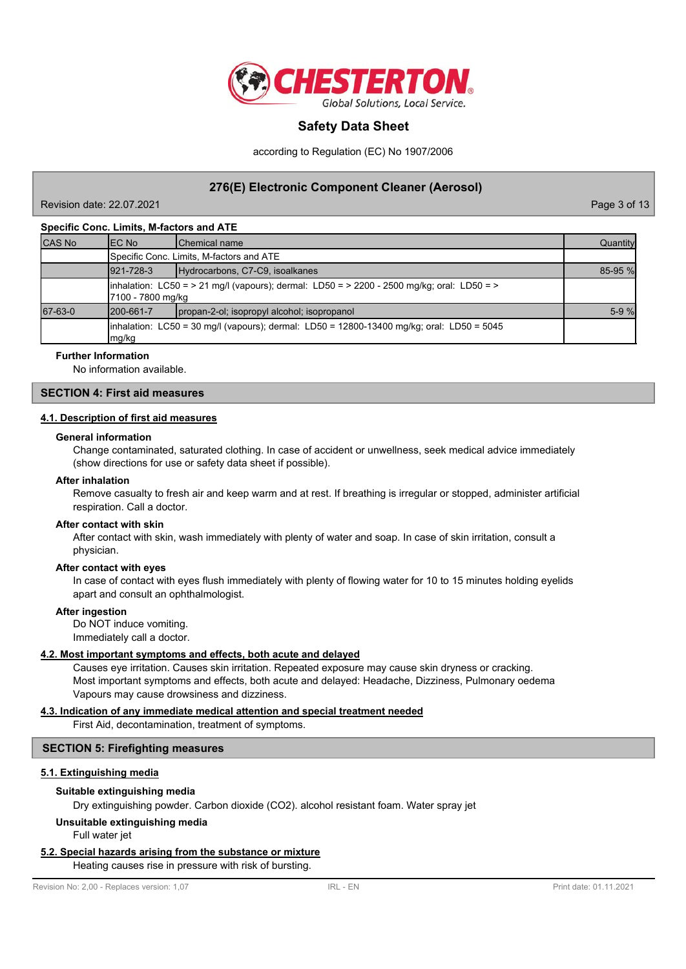

according to Regulation (EC) No 1907/2006

## **276(E) Electronic Component Cleaner (Aerosol)**

Page 3 of 13

#### **Specific Conc. Limits, M-factors and ATE**

| <b>CAS No</b> | IEC No            | <b>IChemical name</b>                                                                       | Quantity |
|---------------|-------------------|---------------------------------------------------------------------------------------------|----------|
|               |                   | Specific Conc. Limits, M-factors and ATE                                                    |          |
|               | 921-728-3         | Hydrocarbons, C7-C9, isoalkanes                                                             | 85-95 %  |
|               | 7100 - 7800 mg/kg | (inhalation: LC50 = > 21 mg/l (vapours); dermal: LD50 = > 2200 - 2500 mg/kg; oral: LD50 = > |          |
| 67-63-0       | 1200-661-7        | propan-2-ol; isopropyl alcohol; isopropanol                                                 | $5-9%$   |
|               | mg/kg             | linhalation: LC50 = 30 mg/l (vapours); dermal: LD50 = 12800-13400 mg/kg; oral: LD50 = 5045  |          |

#### **Further Information**

No information available.

#### **SECTION 4: First aid measures**

#### **4.1. Description of first aid measures**

#### **General information**

Change contaminated, saturated clothing. In case of accident or unwellness, seek medical advice immediately (show directions for use or safety data sheet if possible).

#### **After inhalation**

Remove casualty to fresh air and keep warm and at rest. If breathing is irregular or stopped, administer artificial respiration. Call a doctor.

#### **After contact with skin**

After contact with skin, wash immediately with plenty of water and soap. In case of skin irritation, consult a physician.

#### **After contact with eyes**

In case of contact with eyes flush immediately with plenty of flowing water for 10 to 15 minutes holding eyelids apart and consult an ophthalmologist.

#### **After ingestion**

Do NOT induce vomiting. Immediately call a doctor.

#### **4.2. Most important symptoms and effects, both acute and delayed**

Causes eye irritation. Causes skin irritation. Repeated exposure may cause skin dryness or cracking. Most important symptoms and effects, both acute and delayed: Headache, Dizziness, Pulmonary oedema Vapours may cause drowsiness and dizziness.

#### **4.3. Indication of any immediate medical attention and special treatment needed**

First Aid, decontamination, treatment of symptoms.

#### **SECTION 5: Firefighting measures**

#### **5.1. Extinguishing media**

#### **Suitable extinguishing media**

Dry extinguishing powder. Carbon dioxide (CO2). alcohol resistant foam. Water spray jet

#### **Unsuitable extinguishing media**

Full water jet

### **5.2. Special hazards arising from the substance or mixture**

Heating causes rise in pressure with risk of bursting.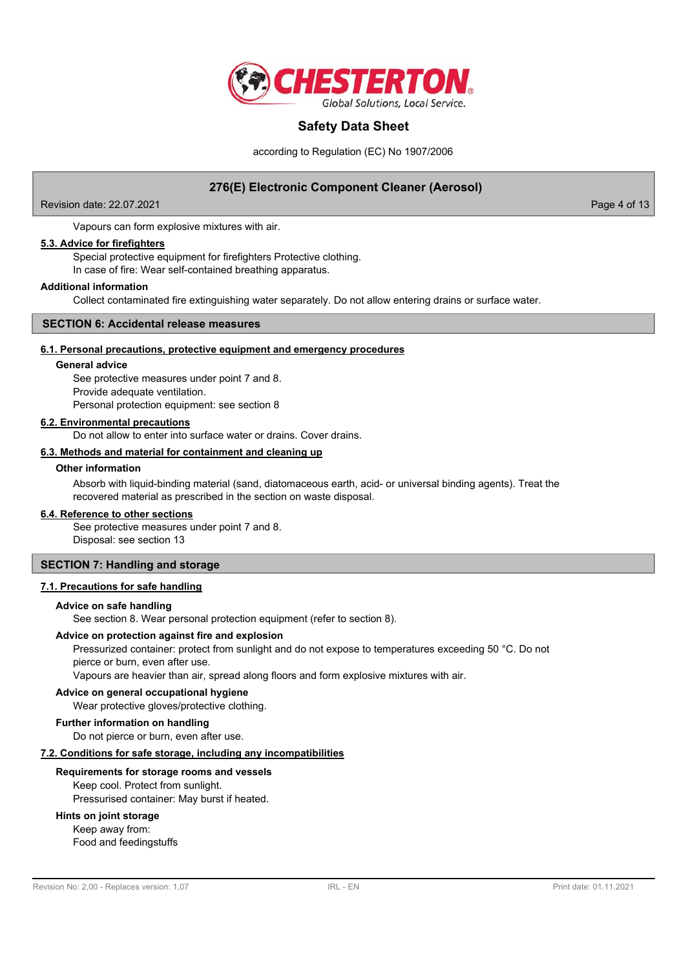

according to Regulation (EC) No 1907/2006

## **276(E) Electronic Component Cleaner (Aerosol)**

Revision date: 22.07.2021 **Page 4 of 13** 

Vapours can form explosive mixtures with air.

#### **5.3. Advice for firefighters**

Special protective equipment for firefighters Protective clothing. In case of fire: Wear self-contained breathing apparatus.

#### **Additional information**

Collect contaminated fire extinguishing water separately. Do not allow entering drains or surface water.

#### **SECTION 6: Accidental release measures**

#### **6.1. Personal precautions, protective equipment and emergency procedures**

#### **General advice**

See protective measures under point 7 and 8. Provide adequate ventilation. Personal protection equipment: see section 8

#### **6.2. Environmental precautions**

Do not allow to enter into surface water or drains. Cover drains.

## **6.3. Methods and material for containment and cleaning up**

#### **Other information**

Absorb with liquid-binding material (sand, diatomaceous earth, acid- or universal binding agents). Treat the recovered material as prescribed in the section on waste disposal.

#### **6.4. Reference to other sections**

See protective measures under point 7 and 8. Disposal: see section 13

## **SECTION 7: Handling and storage**

#### **7.1. Precautions for safe handling**

#### **Advice on safe handling**

See section 8. Wear personal protection equipment (refer to section 8).

#### **Advice on protection against fire and explosion**

Pressurized container: protect from sunlight and do not expose to temperatures exceeding 50 °C. Do not pierce or burn, even after use.

Vapours are heavier than air, spread along floors and form explosive mixtures with air.

#### **Advice on general occupational hygiene**

Wear protective gloves/protective clothing.

#### **Further information on handling**

Do not pierce or burn, even after use.

#### **7.2. Conditions for safe storage, including any incompatibilities**

#### **Requirements for storage rooms and vessels**

Keep cool. Protect from sunlight. Pressurised container: May burst if heated.

## **Hints on joint storage**

Keep away from: Food and feedingstuffs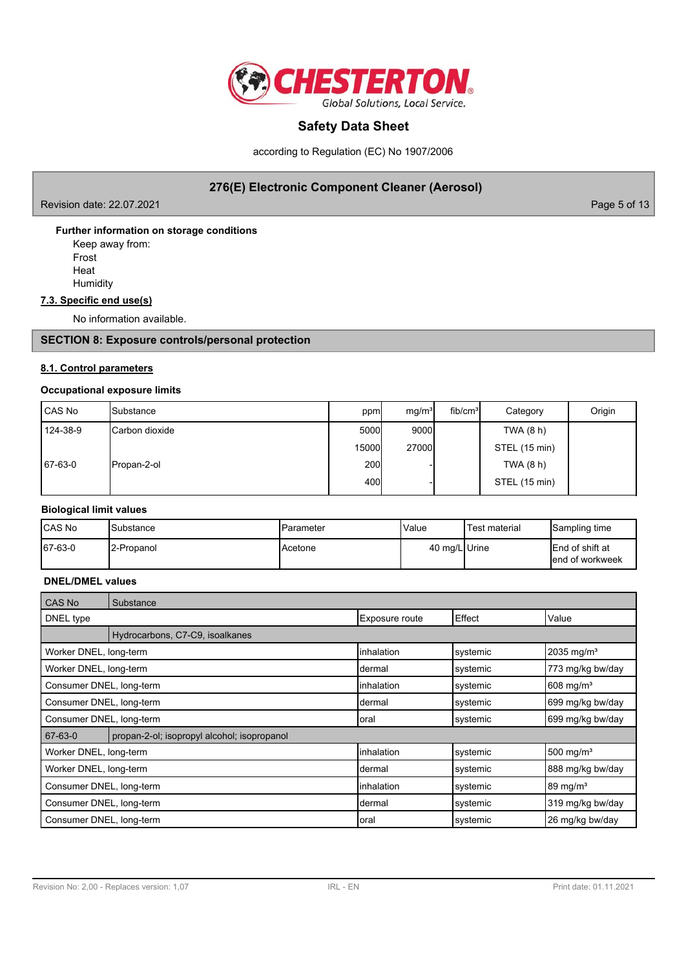

according to Regulation (EC) No 1907/2006

## **276(E) Electronic Component Cleaner (Aerosol)**

Revision date: 22.07.2021 2008 Page 5 of 13

**Further information on storage conditions**

Keep away from: Frost

Heat **Humidity** 

## **7.3. Specific end use(s)**

No information available.

## **SECTION 8: Exposure controls/personal protection**

### **8.1. Control parameters**

### **Occupational exposure limits**

| CAS No   | <b>I</b> Substance     | ppm   | mq/m <sup>3</sup> | fib/cm <sup>3</sup> | Category      | Origin |
|----------|------------------------|-------|-------------------|---------------------|---------------|--------|
| 124-38-9 | <b>ICarbon dioxide</b> | 5000  | 9000l             |                     | TWA $(8 h)$   |        |
|          |                        | 15000 | 27000             |                     | STEL (15 min) |        |
| 67-63-0  | Propan-2-ol            | 200l  |                   |                     | TWA (8 h)     |        |
|          |                        | 400   |                   |                     | STEL (15 min) |        |

## **Biological limit values**

| <b>ICAS No</b> | <b>Substance</b>        | IParameter | Value         | Test material | Sampling time                               |
|----------------|-------------------------|------------|---------------|---------------|---------------------------------------------|
| 67-63-0        | <sup>1</sup> 2-Propanol | IAcetone   | 40 mg/L Urine |               | <b>IEnd of shift at</b><br>lend of workweek |

## **DNEL/DMEL values**

| CAS No                   | Substance                                   |                |          |                         |
|--------------------------|---------------------------------------------|----------------|----------|-------------------------|
| DNEL type                |                                             | Exposure route | Effect   | Value                   |
|                          | Hydrocarbons, C7-C9, isoalkanes             |                |          |                         |
| Worker DNEL, long-term   |                                             | linhalation    | systemic | 2035 mg/m <sup>3</sup>  |
| Worker DNEL, long-term   |                                             | Idermal        | svstemic | 773 mg/kg bw/day        |
| Consumer DNEL, long-term |                                             | linhalation    | systemic | $608$ mg/m <sup>3</sup> |
| Consumer DNEL, long-term |                                             | Idermal        | systemic | 699 mg/kg bw/day        |
| Consumer DNEL, long-term |                                             | loral          | systemic | 699 mg/kg bw/day        |
| 67-63-0                  | propan-2-ol; isopropyl alcohol; isopropanol |                |          |                         |
| Worker DNEL, long-term   |                                             | linhalation    | systemic | 500 mg/m <sup>3</sup>   |
| Worker DNEL, long-term   |                                             | Idermal        | systemic | 888 mg/kg bw/day        |
| Consumer DNEL, long-term |                                             | linhalation    | systemic | $89 \text{ mg/m}^3$     |
| Consumer DNEL, long-term |                                             | Idermal        | systemic | 319 mg/kg bw/day        |
| Consumer DNEL, long-term |                                             | loral          | systemic | 26 mg/kg bw/day         |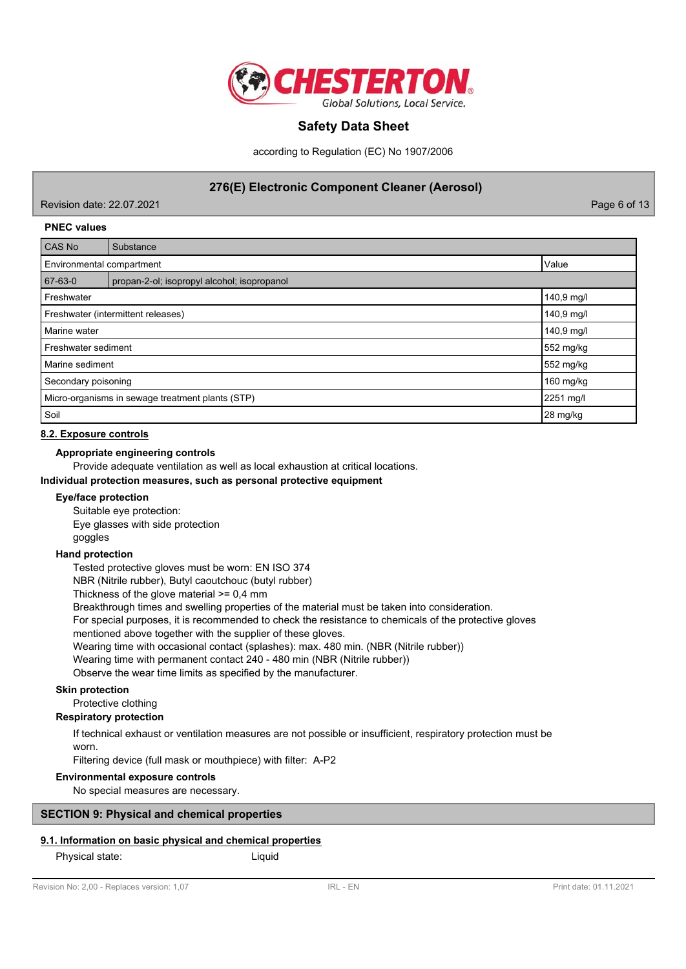

according to Regulation (EC) No 1907/2006

## **276(E) Electronic Component Cleaner (Aerosol)**

Revision date: 22.07.2021 Page 6 of 13

#### **PNEC values**

| <b>CAS No</b>                                    | Substance                                   |            |  |
|--------------------------------------------------|---------------------------------------------|------------|--|
| Value<br>Environmental compartment               |                                             |            |  |
| 67-63-0                                          | propan-2-ol; isopropyl alcohol; isopropanol |            |  |
| Freshwater                                       |                                             | 140,9 mg/l |  |
| Freshwater (intermittent releases)               |                                             | 140,9 mg/l |  |
| Marine water                                     |                                             | 140,9 mg/l |  |
| Freshwater sediment                              |                                             | 552 mg/kg  |  |
| Marine sediment                                  |                                             | 552 mg/kg  |  |
| Secondary poisoning                              |                                             | 160 mg/kg  |  |
| Micro-organisms in sewage treatment plants (STP) |                                             | 2251 mg/l  |  |
| Soil                                             |                                             | 28 mg/kg   |  |

#### **8.2. Exposure controls**

## **Appropriate engineering controls**

Provide adequate ventilation as well as local exhaustion at critical locations.

#### **Individual protection measures, such as personal protective equipment**

#### **Eye/face protection**

Suitable eye protection: Eye glasses with side protection goggles

#### **Hand protection**

Tested protective gloves must be worn: EN ISO 374

NBR (Nitrile rubber), Butyl caoutchouc (butyl rubber)

Thickness of the glove material >= 0,4 mm

Breakthrough times and swelling properties of the material must be taken into consideration.

For special purposes, it is recommended to check the resistance to chemicals of the protective gloves

mentioned above together with the supplier of these gloves.

Wearing time with occasional contact (splashes): max. 480 min. (NBR (Nitrile rubber))

Wearing time with permanent contact 240 - 480 min (NBR (Nitrile rubber))

Observe the wear time limits as specified by the manufacturer.

#### **Skin protection**

## Protective clothing

## **Respiratory protection**

If technical exhaust or ventilation measures are not possible or insufficient, respiratory protection must be worn.

Filtering device (full mask or mouthpiece) with filter: A-P2

#### **Environmental exposure controls**

No special measures are necessary.

## **SECTION 9: Physical and chemical properties**

## **9.1. Information on basic physical and chemical properties**

Physical state: Liquid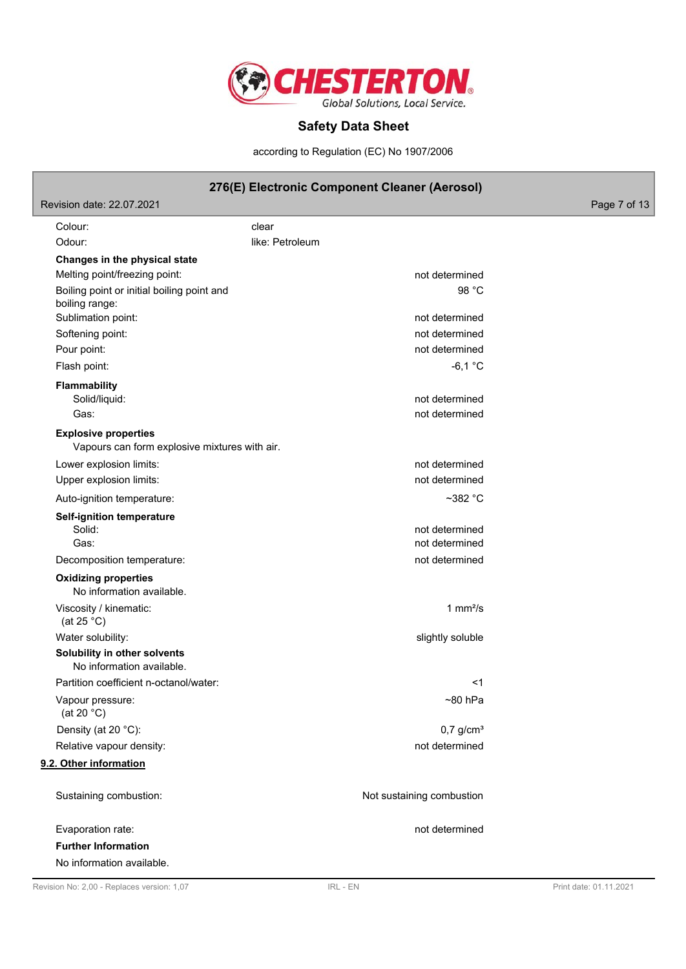

according to Regulation (EC) No 1907/2006

## **276(E) Electronic Component Cleaner (Aerosol)**

Revision date: 22.07.2021 **Page 7 of 13** Colour: clear Odour: and a like: Petroleum **Changes in the physical state** Melting point/freezing point: not determined Boiling point or initial boiling point and 98 °C boiling range: Sublimation point: not determined Softening point: not determined Pour point: not determined Flash point:  $-6,1 \degree$ C **Flammability** Solid/liquid: not determined Gas: **not determined** Gas: Vapours can form explosive mixtures with air. **Explosive properties** Lower explosion limits:  $\qquad \qquad \qquad$  not determined Upper explosion limits:  $\blacksquare$ Auto-ignition temperature:  $\sim$ 382 °C **Self-ignition temperature** Solid: **not determined** and the solid: **not determined** and the solid: **not determined** and the solid: **not determined** and the solid: **not determined** and the solid: **not determined** and the solid: **not determined** and th Gas: not determined Decomposition temperature: not of the matrix of the matrix of the matrix of the matrix of the matrix of the matrix of the matrix of the matrix of the matrix of the matrix of the matrix of the matrix of the matrix of the ma No information available. **Oxidizing properties** Viscosity / kinematic: (at 25 °C) 1  $mm<sup>2</sup>/s$ Water solubility:  $\blacksquare$ **Solubility in other solvents** No information available. Partition coefficient n-octanol/water:  $\leq 1$ Vapour pressure:  $\sim$ 80 hPa (at 20 °C) Density (at 20 °C):  $0.7 \text{ q/cm}^3$ Relative vapour density: not determined **9.2. Other information** Sustaining combustion: Not sustaining combustion

Evaporation rate: not determined **Further Information** No information available.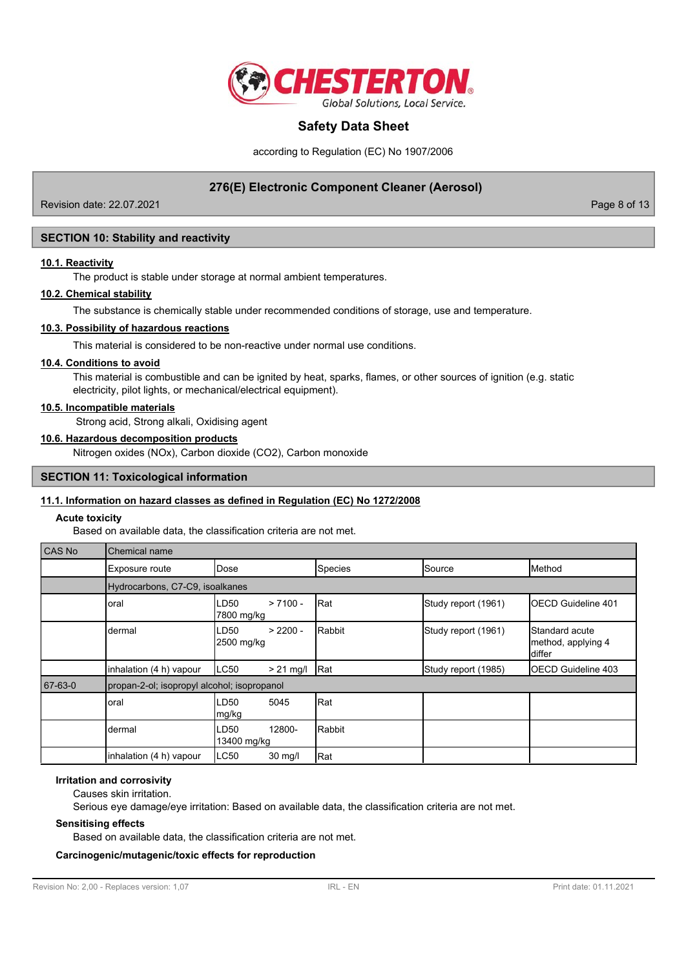

according to Regulation (EC) No 1907/2006

## **276(E) Electronic Component Cleaner (Aerosol)**

Revision date: 22.07.2021 **Page 8 of 13** 

## **SECTION 10: Stability and reactivity**

#### **10.1. Reactivity**

The product is stable under storage at normal ambient temperatures.

#### **10.2. Chemical stability**

The substance is chemically stable under recommended conditions of storage, use and temperature.

#### **10.3. Possibility of hazardous reactions**

This material is considered to be non-reactive under normal use conditions.

#### **10.4. Conditions to avoid**

This material is combustible and can be ignited by heat, sparks, flames, or other sources of ignition (e.g. static electricity, pilot lights, or mechanical/electrical equipment).

## **10.5. Incompatible materials**

Strong acid, Strong alkali, Oxidising agent

#### **10.6. Hazardous decomposition products**

Nitrogen oxides (NOx), Carbon dioxide (CO2), Carbon monoxide

#### **SECTION 11: Toxicological information**

### **11.1. Information on hazard classes as defined in Regulation (EC) No 1272/2008**

#### **Acute toxicity**

Based on available data, the classification criteria are not met.

| CAS No  | Chemical name                               |                                  |              |                     |                                                       |  |  |
|---------|---------------------------------------------|----------------------------------|--------------|---------------------|-------------------------------------------------------|--|--|
|         | Exposure route                              | Dose                             | Species      | Source              | Method                                                |  |  |
|         | Hydrocarbons, C7-C9, isoalkanes             |                                  |              |                     |                                                       |  |  |
|         | oral                                        | $> 7100 -$<br>LD50<br>7800 mg/kg | Rat          | Study report (1961) | IOECD Guideline 401                                   |  |  |
|         | dermal                                      | $> 2200 -$<br>LD50<br>2500 mg/kg | Rabbit       | Study report (1961) | <b>Standard acute</b><br>method, applying 4<br>differ |  |  |
|         | inhalation (4 h) vapour                     | LC50<br>$> 21$ mg/               | <b>I</b> Rat | Study report (1985) | <b>IOECD Guideline 403</b>                            |  |  |
| 67-63-0 | propan-2-ol; isopropyl alcohol; isopropanol |                                  |              |                     |                                                       |  |  |
|         | oral                                        | LD50<br>5045<br>mg/kg            | Rat          |                     |                                                       |  |  |
|         | dermal                                      | 12800-<br>LD50<br>13400 mg/kg    | Rabbit       |                     |                                                       |  |  |
|         | inhalation (4 h) vapour                     | LC50<br>30 mg/l                  | Rat          |                     |                                                       |  |  |

### **Irritation and corrosivity**

Causes skin irritation.

Serious eye damage/eye irritation: Based on available data, the classification criteria are not met.

#### **Sensitising effects**

Based on available data, the classification criteria are not met.

#### **Carcinogenic/mutagenic/toxic effects for reproduction**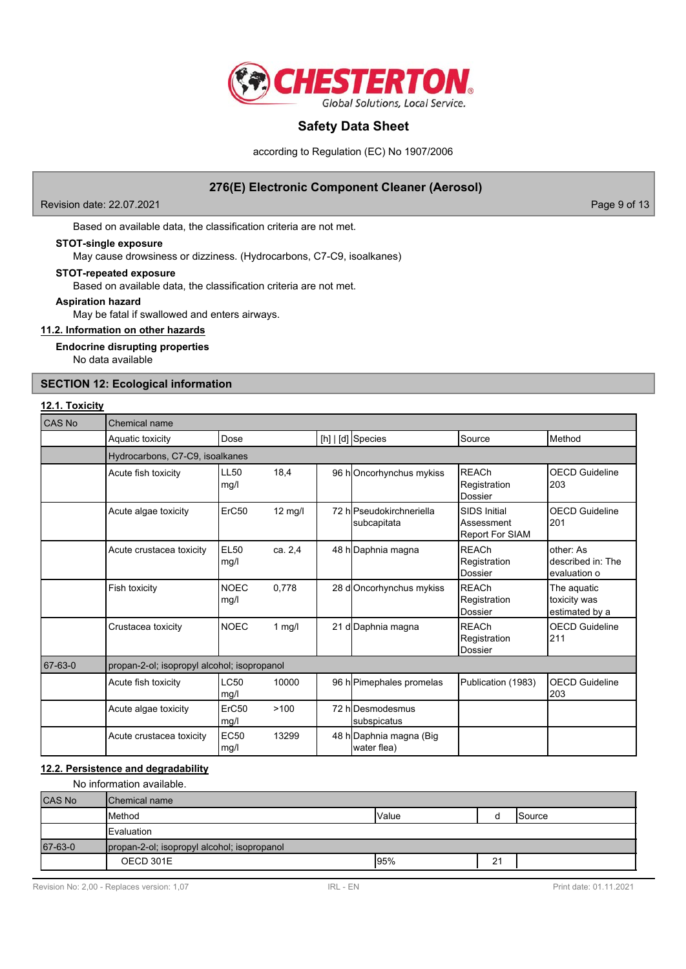

according to Regulation (EC) No 1907/2006

## **276(E) Electronic Component Cleaner (Aerosol)**

Revision date: 22.07.2021 2008 Page 9 of 13

Based on available data, the classification criteria are not met.

#### **STOT-single exposure**

May cause drowsiness or dizziness. (Hydrocarbons, C7-C9, isoalkanes)

### **STOT-repeated exposure**

Based on available data, the classification criteria are not met.

#### **Aspiration hazard**

May be fatal if swallowed and enters airways.

## **11.2. Information on other hazards**

**Endocrine disrupting properties**

No data available

## **SECTION 12: Ecological information**

#### **12.1. Toxicity**

| <b>CAS No</b> | Chemical name                               |                     |                   |  |                                         |                                                      |                                                |  |
|---------------|---------------------------------------------|---------------------|-------------------|--|-----------------------------------------|------------------------------------------------------|------------------------------------------------|--|
|               | Aquatic toxicity                            | Dose                |                   |  | [h]   [d] Species                       | Source                                               | Method                                         |  |
|               | Hydrocarbons, C7-C9, isoalkanes             |                     |                   |  |                                         |                                                      |                                                |  |
|               | Acute fish toxicity                         | <b>LL50</b><br>mq/l | 18,4              |  | 96 hOncorhynchus mykiss                 | <b>RFACh</b><br>Registration<br>Dossier              | <b>OECD Guideline</b><br>203                   |  |
|               | Acute algae toxicity                        | ErC50               | $12 \text{ mg/l}$ |  | 72 hlPseudokirchneriella<br>subcapitata | <b>SIDS Initial</b><br>Assessment<br>Report For SIAM | <b>OECD Guideline</b><br>201                   |  |
|               | Acute crustacea toxicity                    | <b>EL50</b><br>mg/l | ca. 2.4           |  | 48 h Daphnia magna                      | <b>REACh</b><br>Registration<br><b>Dossier</b>       | other: As<br>described in: The<br>evaluation o |  |
|               | Fish toxicity                               | <b>NOEC</b><br>mg/l | 0.778             |  | 28 d Oncorhynchus mykiss                | <b>REACh</b><br>Registration<br>Dossier              | The aquatic<br>toxicity was<br>estimated by a  |  |
|               | Crustacea toxicity                          | <b>NOEC</b>         | $1$ mg/l          |  | 21 d Daphnia magna                      | <b>REACh</b><br>Registration<br>Dossier              | <b>OECD Guideline</b><br>211                   |  |
| 67-63-0       | propan-2-ol; isopropyl alcohol; isopropanol |                     |                   |  |                                         |                                                      |                                                |  |
|               | Acute fish toxicity                         | LC50<br>mg/l        | 10000             |  | 96 h Pimephales promelas                | Publication (1983)                                   | <b>OECD Guideline</b><br>203                   |  |
|               | Acute algae toxicity                        | ErC50<br>mg/l       | >100              |  | 72 hlDesmodesmus<br>subspicatus         |                                                      |                                                |  |
|               | Acute crustacea toxicity                    | <b>EC50</b><br>mg/l | 13299             |  | 48 h Daphnia magna (Big<br>water flea)  |                                                      |                                                |  |

## **12.2. Persistence and degradability**

No information available.

| <b>CAS No</b> | <b>I</b> Chemical name                      |              |    |         |  |  |
|---------------|---------------------------------------------|--------------|----|---------|--|--|
|               | <b>Method</b>                               | <b>Value</b> |    | ISource |  |  |
|               | Evaluation                                  |              |    |         |  |  |
| 67-63-0       | propan-2-ol; isopropyl alcohol; isopropanol |              |    |         |  |  |
|               | OECD 301E                                   | 95%          | 21 |         |  |  |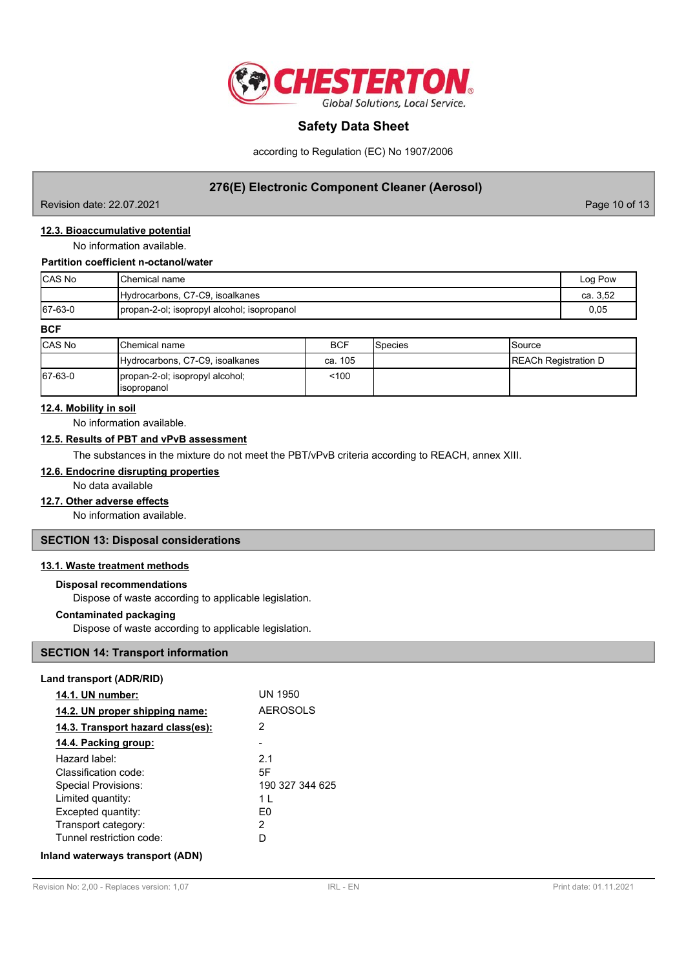

according to Regulation (EC) No 1907/2006

## **276(E) Electronic Component Cleaner (Aerosol)**

Revision date: 22.07.2021 Page 10 of 13

## **12.3. Bioaccumulative potential**

No information available.

#### **Partition coefficient n-octanol/water**

| <b>CAS No</b> | <b>I</b> Chemical name                      | Log Pow  |
|---------------|---------------------------------------------|----------|
|               | Hydrocarbons, C7-C9, isoalkanes             | ca. 3.52 |
| 67-63-0       | propan-2-ol; isopropyl alcohol; isopropanol | 0,05     |

#### **BCF**

| <b>CAS No</b> | <b>I</b> Chemical name                          | <b>BCF</b> | <b>I</b> Species | Source                      |
|---------------|-------------------------------------------------|------------|------------------|-----------------------------|
|               | Hydrocarbons, C7-C9, isoalkanes                 | ca. 105    |                  | <b>REACh Registration D</b> |
| 67-63-0       | propan-2-ol; isopropyl alcohol;<br>lisopropanol | $100$      |                  |                             |

#### **12.4. Mobility in soil**

No information available.

#### **12.5. Results of PBT and vPvB assessment**

The substances in the mixture do not meet the PBT/vPvB criteria according to REACH, annex XIII.

#### **12.6. Endocrine disrupting properties**

No data available

### **12.7. Other adverse effects**

No information available.

### **SECTION 13: Disposal considerations**

## **13.1. Waste treatment methods**

# **Disposal recommendations**

Dispose of waste according to applicable legislation.

#### **Contaminated packaging**

Dispose of waste according to applicable legislation.

## **SECTION 14: Transport information**

| Land transport (ADR/RID) |  |
|--------------------------|--|
|--------------------------|--|

| 14.1. UN number:                  | <b>UN 1950</b>  |
|-----------------------------------|-----------------|
| 14.2. UN proper shipping name:    | <b>AEROSOLS</b> |
| 14.3. Transport hazard class(es): | 2               |
| 14.4. Packing group:              |                 |
| Hazard label:                     | 2.1             |
| Classification code:              | 5F              |
| Special Provisions:               | 190 327 344 625 |
| Limited quantity:                 | 1 I             |
| Excepted quantity:                | F٥              |
| Transport category:               | 2               |
| Tunnel restriction code:          | D               |
| Inland waterways transport (ADN)  |                 |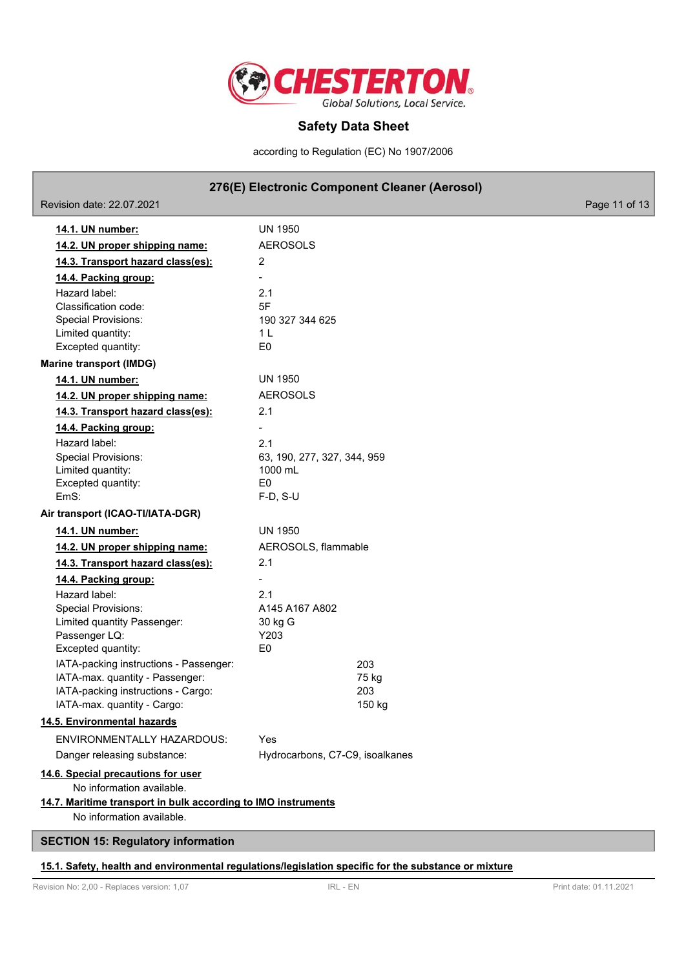

according to Regulation (EC) No 1907/2006

## **276(E) Electronic Component Cleaner (Aerosol)**

Revision date: 22.07.2021 Page 11 of 13 **14.1. UN number:** UN 1950 **14.2. UN proper shipping name:** AEROSOLS **14.3. Transport hazard class(es):** 2 **14.4. Packing group:** - Hazard label: 2.1 Classification code: 5F Special Provisions: 190 327 344 625 Limited quantity: 1 L Excepted quantity: E0 **Marine transport (IMDG) 14.1. UN number:** UN 1950 **14.2. UN proper shipping name:** AEROSOLS **14.3. Transport hazard class(es):** 2.1 **14.4. Packing group:** - Hazard label: 2.1 Special Provisions: 63, 190, 277, 327, 344, 959 Limited quantity: 1000 mL Excepted quantity: E0 EmS: F-D, S-U **Air transport (ICAO-TI/IATA-DGR) 14.1. UN number:** UN 1950 **14.2. UN proper shipping name:** AEROSOLS, flammable **14.3. Transport hazard class(es):** 2.1 **14.4. Packing group:** - Hazard label: 2.1 Special Provisions: A145 A167 A802 Limited quantity Passenger: 30 kg G Passenger LQ: Y203 Excepted quantity: E0 IATA-packing instructions - Passenger: 203 IATA-max. quantity - Passenger: 75 kg IATA-packing instructions - Cargo: 203 IATA-max. quantity - Cargo: 150 kg **14.5. Environmental hazards** ENVIRONMENTALLY HAZARDOUS: Yes Danger releasing substance: Hydrocarbons, C7-C9, isoalkanes **14.6. Special precautions for user** No information available. **14.7. Maritime transport in bulk according to IMO instruments** No information available. **SECTION 15: Regulatory information**

#### **15.1. Safety, health and environmental regulations/legislation specific for the substance or mixture**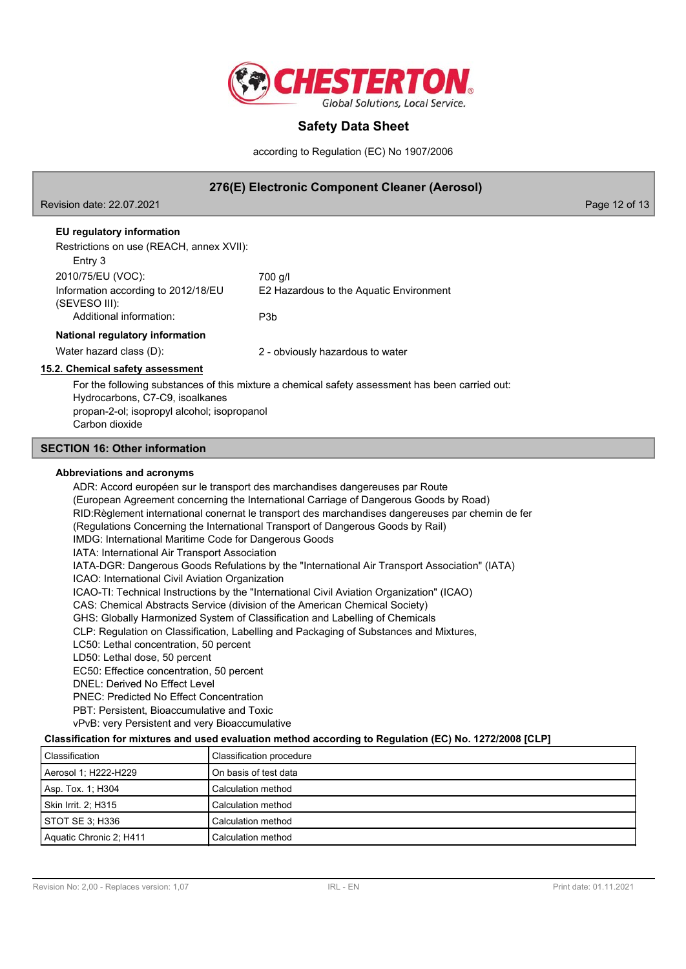

according to Regulation (EC) No 1907/2006

## **276(E) Electronic Component Cleaner (Aerosol)**

Revision date: 22.07.2021 Page 12 of 13

## **EU regulatory information**

Restrictions on use (REACH, annex XVII):

| Resultudiis on use (REACH, annex AVII).              |                                         |  |
|------------------------------------------------------|-----------------------------------------|--|
| Entry 3                                              |                                         |  |
| 2010/75/EU (VOC):                                    | 700 g/l                                 |  |
| Information according to 2012/18/EU<br>(SEVESO III): | E2 Hazardous to the Aquatic Environment |  |
| Additional information:                              | P3b                                     |  |
| National regulatory information                      |                                         |  |
| Water hazard class (D):                              | 2 - obviously hazardous to water        |  |

### **15.2. Chemical safety assessment**

For the following substances of this mixture a chemical safety assessment has been carried out: Hydrocarbons, C7-C9, isoalkanes propan-2-ol; isopropyl alcohol; isopropanol Carbon dioxide

## **SECTION 16: Other information**

#### **Abbreviations and acronyms**

ADR: Accord européen sur le transport des marchandises dangereuses par Route (European Agreement concerning the International Carriage of Dangerous Goods by Road) RID:Règlement international conernat le transport des marchandises dangereuses par chemin de fer (Regulations Concerning the International Transport of Dangerous Goods by Rail) IMDG: International Maritime Code for Dangerous Goods IATA: International Air Transport Association IATA-DGR: Dangerous Goods Refulations by the "International Air Transport Association" (IATA) ICAO: International Civil Aviation Organization ICAO-TI: Technical Instructions by the "International Civil Aviation Organization" (ICAO) CAS: Chemical Abstracts Service (division of the American Chemical Society) GHS: Globally Harmonized System of Classification and Labelling of Chemicals CLP: Regulation on Classification, Labelling and Packaging of Substances and Mixtures, LC50: Lethal concentration, 50 percent LD50: Lethal dose, 50 percent EC50: Effectice concentration, 50 percent DNEL: Derived No Effect Level PNEC: Predicted No Effect Concentration PBT: Persistent, Bioaccumulative and Toxic vPvB: very Persistent and very Bioaccumulative

#### **Classification for mixtures and used evaluation method according to Regulation (EC) No. 1272/2008 [CLP]**

| Classification          | Classification procedure |
|-------------------------|--------------------------|
| Aerosol 1; H222-H229    | On basis of test data    |
| Asp. Tox. 1; H304       | Calculation method       |
| Skin Irrit. 2: H315     | Calculation method       |
| STOT SE 3; H336         | Calculation method       |
| Aquatic Chronic 2; H411 | Calculation method       |